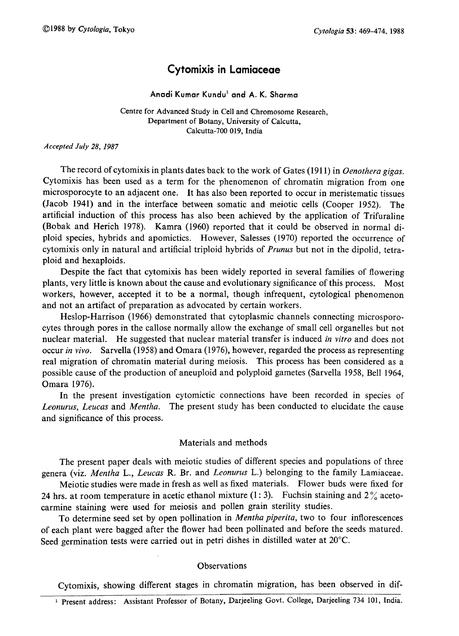# Cytomixis in Lamiaceae

## Anadi Kumar Kundu<sup>1</sup> and A. K. Sharma

Centre for Advanced Study in Cell and Chromosome Research, Department of Botany, University of Calcutta, Calcutta-700 019, India

Accepted July 28, 1987

The record of cytomixis in plants dates back to the work of Gates (1911) in *Oenothera gigas*. Cytomixis has been used as a term for the phenomenon of chromatin migration from one microsporocyte to an adjacent one. It has also been reported to occur in meristematic tissues (Jacob 1941) and in the interface between somatic and meiotic cells (Cooper 1952). The artificial induction of this process has also been achieved by the application of Trifuraline (Bobak and Herich 1978). Kamra (1960) reported that it could be observed in normal di ploid species, hybrids and apomictics. However, Salesses (1970) reported the occurrence of cytomixis only in natural and artificial triploid hybrids of Prunus but not in the dipolid, tetra ploid and hexaploids.

Despite the fact that cytomixis has been widely reported in several families of flowering plants, very little is known about the cause and evolutionary significance of this process. Most workers, however, accepted it to be a normal, though infrequent, cytological phenomenon and not an artifact of preparation as advocated by certain workers.

Heslop-Harrison (1966) demonstrated that cytoplasmic channels connecting microsporo cytes through pores in the callose normally allow the exchange of small cell organelles but not nuclear material. He suggested that nuclear material transfer is induced in vitro and does not occur in vivo. Sarvella (1958) and Omara (1976), however, regarded the process as representing real migration of chromatin material during meiosis. This process has been considered as a possible cause of the production of aneuploid and polyploid gametes (Sarvella 1958, Bell 1964, Omara 1976).

In the present investigation cytomictic connections have been recorded in species of Leonurus, Leucas and Mentha. The present study has been conducted to elucidate the cause and significance of this process.

# Materials and methods

The present paper deals with meiotic studies of different species and populations of three genera (viz. Mentha L., Leucas R. Br. and Leonurus L.) belonging to the family Lamiaceae.

Meiotic studies were made in fresh as well as fixed materials. Flower buds were fixed for 24 hrs. at room temperature in acetic ethanol mixture (1:3). Fuchs in staining and  $2\%$  acetocarmine staining were used for meiosis and pollen grain sterility studies.

To determine seed set by open pollination in Mentha piperita, two to four inflorescences of each plant were bagged after the flower had been pollinated and before the seeds matured. Seed germination tests were carried out in petri dishes in distilled water at  $20^{\circ}$ C.

# Observations

Cytomixis, showing different stages in chromatin migration, has been observed in dif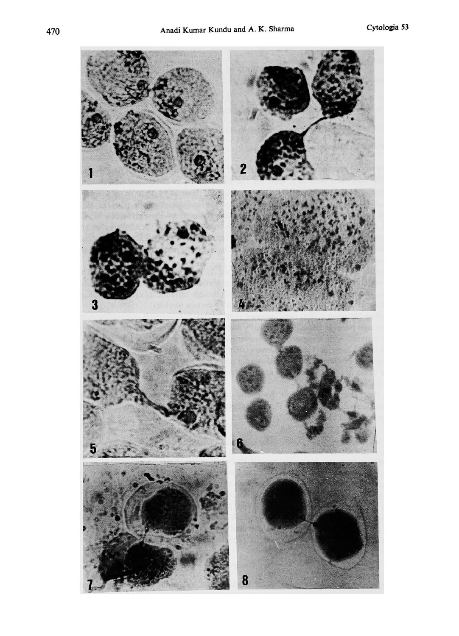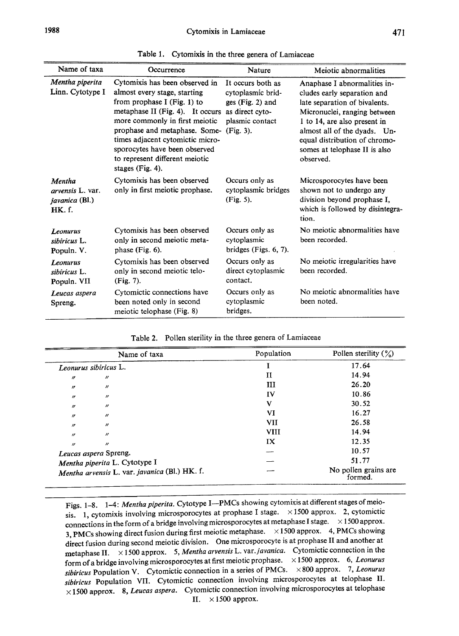| Name of taxa                                                        | Occurrence                                                                                                                                                                                                                                                                                                                           | Nature                                                                                                          | Meiotic abnormalities                                                                                                                                                                                                                                                       |
|---------------------------------------------------------------------|--------------------------------------------------------------------------------------------------------------------------------------------------------------------------------------------------------------------------------------------------------------------------------------------------------------------------------------|-----------------------------------------------------------------------------------------------------------------|-----------------------------------------------------------------------------------------------------------------------------------------------------------------------------------------------------------------------------------------------------------------------------|
| Mentha piperita<br>Linn. Cytotype I                                 | Cytomixis has been observed in<br>almost every stage, starting<br>from prophase $I$ (Fig. 1) to<br>metaphase II (Fig. 4). It occurs<br>more commonly in first meiotic<br>prophase and metaphase. Some-<br>times adjacent cytomictic micro-<br>sporocytes have been observed<br>to represent different meiotic<br>stages $(Fig. 4)$ . | It occurs both as<br>cytoplasmic brid-<br>$ges$ (Fig. 2) and<br>as direct cyto-<br>plasmic contact<br>(Fig. 3). | Anaphase I abnormalities in-<br>cludes early separation and<br>late separation of bivalents.<br>Micronuclei, ranging between<br>1 to 14, are also present in<br>almost all of the dyads. Un-<br>equal distribution of chromo-<br>somes at telophase II is also<br>observed. |
| Mentha<br><i>arvensis</i> L. var.<br>javanica (Bl.)<br><b>HK.f.</b> | Cytomixis has been observed<br>only in first meiotic prophase.                                                                                                                                                                                                                                                                       | Occurs only as<br>cytoplasmic bridges<br>(Fig. 5).                                                              | Microsporocytes have been<br>shown not to undergo any<br>division beyond prophase I,<br>which is followed by disintegra-<br>tion.                                                                                                                                           |
| <b>Leonurus</b><br>sibiricus L.<br>Populn. V.                       | Cytomixis has been observed<br>only in second meiotic meta-<br>phase (Fig. 6).                                                                                                                                                                                                                                                       | Occurs only as<br>cytoplasmic<br>$bridges$ (Figs. $6, 7$ ).                                                     | No meiotic abnormalities have<br>been recorded.                                                                                                                                                                                                                             |
| Leonurus<br>sibiricus L.<br>Populn. VII                             | Cytomixis has been observed<br>only in second meiotic telo-<br>(Fig. 7).                                                                                                                                                                                                                                                             | Occurs only as<br>direct cytoplasmic<br>contact.                                                                | No meiotic irregularities have<br>been recorded.                                                                                                                                                                                                                            |
| Leucas aspera<br>Spreng.                                            | Cytomictic connections have<br>been noted only in second<br>meiotic telophase (Fig. 8)                                                                                                                                                                                                                                               | Occurs only as<br>cytoplasmic<br>bridges.                                                                       | No meiotic abnormalities have<br>been noted.                                                                                                                                                                                                                                |

Table 1. Cytomixis in the three genera of Lamiaceae

|  |  |  |  |  |  |  |  | Table 2. Pollen sterility in the three genera of Lamiaceae |
|--|--|--|--|--|--|--|--|------------------------------------------------------------|
|--|--|--|--|--|--|--|--|------------------------------------------------------------|

|                   | Name of taxa                                  | Population  | Pollen sterility $(\%)$         |  |
|-------------------|-----------------------------------------------|-------------|---------------------------------|--|
|                   | Leonurus sibiricus L.                         |             | 17.64                           |  |
| $^{\prime\prime}$ | $^{\prime\prime}$                             | $_{\rm II}$ | 14.94                           |  |
| $^{\prime\prime}$ | $^{\prime\prime}$                             | ш           | 26.20                           |  |
| $^{\prime\prime}$ | $^{\prime\prime}$                             | IV          | 10.86                           |  |
| $^{\prime\prime}$ | $^{\prime\prime}$                             | v           | 30.52                           |  |
| $\prime\prime$    | $^{\prime\prime}$                             | VI          | 16.27                           |  |
| $^{\prime\prime}$ | $^{\prime\prime}$                             | <b>VII</b>  | 26.58                           |  |
| $^{\prime\prime}$ | $^{\prime\prime}$                             | <b>VIII</b> | 14.94                           |  |
| $^{\prime\prime}$ | $^{\prime\prime}$                             | IX          | 12.35                           |  |
|                   | Leucas aspera Spreng.                         |             | 10.57                           |  |
|                   | Mentha piperita L. Cytotype I                 |             | 51.77                           |  |
|                   | Mentha arvensis L. var. javanica (Bl.) HK. f. |             | No pollen grains are<br>formed. |  |

Figs. 1-8. 1-4: Mentha piperita. Cytotype I--PMCs showing cytomixis at different stages of meiosis. 1, cytomixis involving microsporocytes at prophase I stage.  $\times$ 1500 approx. 2, cytomictic connections in the form of a bridge involving microsporocytes at metaphase I stage.  $\times$  1500 approx. 3, PMCs showing direct fusion during first meiotic metaphase.  $\times$  1500 approx. 4, PMCs showing direct fusion during second meiotic division. One microsporocyte is at prophase II and another at metaphase II.  $\times$ 1500 approx. 5, Mentha arvensis L. var. javanica. Cytomictic connection in the form of a bridge involving microsporocytes at first meiotic prophase.  $\times$ 1500 approx. 6, Leonurus sibiricus Population V. Cytomictic connection in a series of PMCs.  $\times 800$  approx. 7, Leonurus sibiricus Population VII. Cytomictic connection involving microsporocytes at telophase II.  $\times$ 1500 approx. 8, Leucas aspera. Cytomictic connection involving microsporocytes at telophase II.  $\times$ 1500 approx.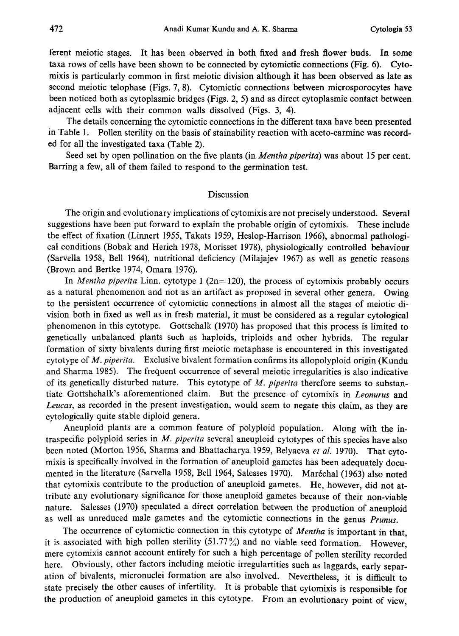ferent meiotic stages. It has been observed in both fixed and fresh flower buds. In some taxa rows of cells have been shown to be connected by cytomictic connections (Fig. 6). Cyto mixis is particularly common in first meiotic division although it has been observed as late as second meiotic telophase (Figs. 7, 8). Cytomictic connections between microsporocytes have been noticed both as cytoplasmic bridges (Figs. 2, 5) and as direct cytoplasmic contact between adjacent cells with their common walls dissolved (Figs. 3, 4).

The details concerning the cytomictic connections in the different taxa have been presented in Table 1. Pollen sterility on the basis of stainability reaction with aceto-carmine was record ed for all the investigated taxa (Table 2).

Seed set by open pollination on the five plants (in *Mentha piperita*) was about 15 per cent. Barring a few, all of them failed to respond to the germination test.

# Discussion

The origin and evolutionary implications of cytomixis are not precisely understood. Several suggestions have been put forward to explain the probable origin of cytomixis. These include the effect of fixation (Linnert 1955, Takats 1959, Heslop-Harrison 1966), abnormal pathologi cal conditions (Bobak and Herich 1978, Morisset 1978), physiologically controlled behaviour (Sarvella 1958, Bell 1964), nutritional deficiency (Milajajev 1967) as well as genetic reasons (Brown and Bertke 1974, Omara 1976).

In Mentha piperita Linn. cytotype I (2n=120), the process of cytomixis probably occurs as a natural phenomenon and not as an artifact as proposed in several other genera. Owing to the persistent occurrence of cytomictic connections in almost all the stages of meiotic di vision both in fixed as well as in fresh material, it must be considered as a regular cytological phenomenon in this cytotype. Gottschalk (1970) has proposed that this process is limited to genetically unbalanced plants such as haploids, triploids and other hybrids. The regular formation of sixty bivalents during first meiotic metaphase is encountered in this investigated cytotype of M. piperita. Exclusive bivalent formation confirms its allopolyploid origin (Kundu and Sharma 1985). The frequent occurrence of several meiotic irregularities is also indicative of its genetically disturbed nature. This cytotype of  $M$ . piperita therefore seems to substantiate Gottshchalk's aforementioned claim. But the presence of cytomixis in Leonurus and Leucas, as recorded in the present investigation, would seem to negate this claim, as they are cytologically quite stable diploid genera.

Aneuploid plants are a common feature of polyploid population. Along with the in traspecific polyploid series in  $M$ . piperita several aneuploid cytotypes of this species have also been noted (Morton 1956, Sharma and Bhattacharya 1959, Belyaeva et al. 1970). That cytomixis is specifically involved in the formation of aneuploid gametes has been adequately docu mented in the literature (Sarvella 1958, Bell 1964, Salesses 1970). Maréchal (1963) also noted that cytomixis contribute to the production of aneuploid gametes. He, however, did not at tribute any evolutionary significance for those aneuploid gametes because of their non-viable nature. Salesses (1970) speculated a direct correlation between the production of aneuploid as well as unreduced male gametes and the cytomictic connections in the genus Prunus.

The occurrence of cytomictic connection in this cytotype of Mentha is important in that, it is associated with high pollen sterility  $(51.77\%)$  and no viable seed formation. However, mere cytomixis cannot account entirely for such a high percentage of pollen sterility recorded here. Obviously, other factors including meiotic irregulartities such as laggards, early separ ation of bivalents, micronuclei formation are also involved. Nevertheless, it is difficult to state precisely the other causes of infertility. It is probable that cytomixis is responsible for the production of aneuploid gametes in this cytotype. From an evolutionary point of view,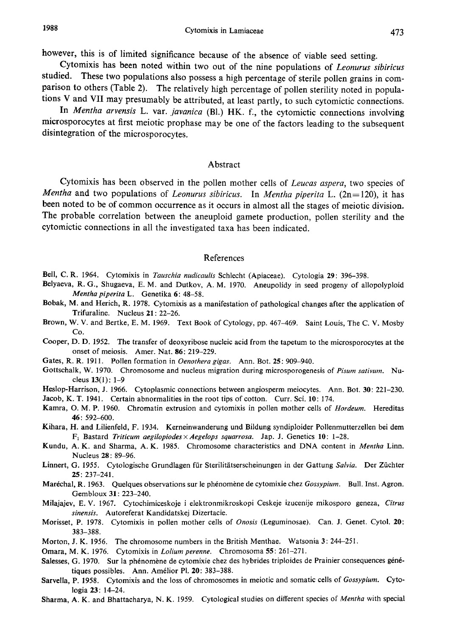1988 Cytomixis in Lamiaceae 473

however, this is of limited significance because of the absence of viable seed setting.

Cytomixis has been noted within two out of the nine populations of Leonurus sibiricus studied. These two populations also possess a high percentage of sterile pollen grains in com parison to others (Table 2). The relatively high percentage of pollen sterility noted in popula tions V and VII may presumably be attributed , at least partly, to such cytomictic connections.

In Mentha arvensis L. var. javanica (Bl.) HK. f., the cytomictic connections involving microsporocytes at first meiotic prophase may be one of the factors leading to the subsequent disintegration of the microsporocytes.

### Abstract

Cytomixis has been observed in the pollen mother cells of Leucas aspera, two species of Mentha and two populations of Leonurus sibiricus. In Mentha piperita L.  $(2n= 120)$ , it has been noted to be of common occurrence as it occurs in almost all the stages of meiotic division. The probable correlation between the aneuploid gamete production, pollen sterility and the cytomictic connections in all the investigated taxa has been indicated.

#### References

- Bell, C. R. 1964. Cytomixis in *Tauschia nudicaulis* Schlecht (Apiaceae). Cytologia 29: 396–3
- Belyaeva, R. G., Shugaeva, E. M. and Dutkov, A. M. 1970. Aneupolidy in seed progeny of allopolyploid Mentha piperita L. Genetika 6: 48-58.
- Bobak, M. and Herich, R. 1978. Cytomixis as a manifestation of pathological changes after the application of Trifuraline. Nucleus 21: 22-26.
- Brown, W. V. and Bertke, E. M. 1969. Text Book of Cytology, pp. 467–469. Saint Louis, The C. V. Mos Co.
- Cooper, D. D. 1952. The transfer of deoxyribose nucleic acid from the tapetum to the microsporocytes at the onset of meiosis. Amer. Nat. 86: 219-229.
- Gates, R. R. 1911. Pollen formation in *Oenothera gigas.* Ann. Bot. 25: 909–940.
- Gottschalk, W. 1970. Chromosome and nucleus migration during microsporogenesis of Pisum sativum. Nucleus 13(1): 1-9
- Heslop-Harrison, J. 1966. Cytoplasmic connections between angiosperm meiocytes. Ann. Bot. 30: 221-230.
- Jacob, K. T. 1941. Certain abnormalities in the root tips of cotton. Curr. Sci. 10: 174.
- Kamra, O. M. P. 1960. Chromatin extrusion and cytomixis in pollen mother cells of Hordeum. Hereditas 46: 592-600.
- Kihara, H. and Lilienfeld, F. 1934. Kerneinwanderung and Bildung syndiploider Pollenmutterzellen bei dem  $F_1$  Bastard Triticum aegilopiodes  $\times$  Aegelops squarrosa. Jap. J. Genetics 10: 1-28.
- Kundu, A. K. and Sharma, A. K. 1985. Chromosome characteristics and DNA content in Mentha Linn. Nucleus 28: 89-96.
- Linnert, G. 1955. Cytologische Grundlagen für Sterilitätserscheinungen in der Gattung Salvia. Der Züchter 25: 237-241.
- Maréchal, R. 1963. Quelques observations sur le phénomène de cytomixie chez Gossypium. Bull. Inst. Agron. Gembloux 31: 223-240.
- Milajajev, E. V. 1967. Cytochimiceskoje i elektronmikroskopi Ceskeje izucenije mikosporo geneza, Citrus sinensis. Autoreferat Kandidatskej Dizertacie.
- Morisset, P. 1978. Cytomixis in pollen mother cells of Onosis (Leguminosae). Can. J. Genet. Cytol. 20: 383-388.
- Morton, J. K. 1956. The chromosome numbers in the British Menthae. Watsonia 3: 244-251.

Omara, M. K. 1976. Cytomixis in Lolium perenne. Chromosoma 55: 261-271.

- Salesses, G. 1970. Sur la phénomène de cytomixie chez des hybrides triploides de Prainier consequences génétiques possibles. Ann. Amelior P1. 20: 383-388.
- Sarvella, P. 1958. Cytomixis and the loss of chromosomes in meiotic and somatic cells of Gossypium. Cytologia 23: 14-24.
- Sharma, A. K. and Bhattacharya, N. K. 1959. Cytological studies on different species of Mentha with special